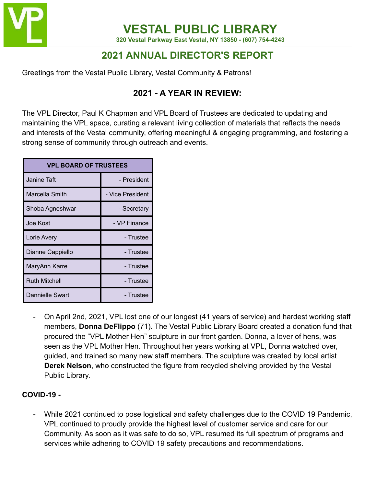

**VESTAL PUBLIC LIBRARY 320 Vestal Parkway East Vestal, NY 13850 - (607) 754-4243**

# **2021 ANNUAL DIRECTOR'S REPORT**

Greetings from the Vestal Public Library, Vestal Community & Patrons!

## **2021 - A YEAR IN REVIEW:**

The VPL Director, Paul K Chapman and VPL Board of Trustees are dedicated to updating and maintaining the VPL space, curating a relevant living collection of materials that reflects the needs and interests of the Vestal community, offering meaningful & engaging programming, and fostering a strong sense of community through outreach and events.

| <b>VPL BOARD OF TRUSTEES</b> |                  |  |  |  |
|------------------------------|------------------|--|--|--|
| Janine Taft                  | - President      |  |  |  |
| Marcella Smith               | - Vice President |  |  |  |
| Shoba Agneshwar              | - Secretary      |  |  |  |
| Joe Kost                     | - VP Finance     |  |  |  |
| Lorie Avery                  | - Trustee        |  |  |  |
| Dianne Cappiello             | - Trustee        |  |  |  |
| MaryAnn Karre                | - Trustee        |  |  |  |
| <b>Ruth Mitchell</b>         | - Trustee        |  |  |  |
| <b>Dannielle Swart</b>       | - Trustee        |  |  |  |

- On April 2nd, 2021, VPL lost one of our longest (41 years of service) and hardest working staff members, **Donna DeFlippo** (71). The Vestal Public Library Board created a donation fund that procured the "VPL Mother Hen" sculpture in our front garden. Donna, a lover of hens, was seen as the VPL Mother Hen. Throughout her years working at VPL, Donna watched over, guided, and trained so many new staff members. The sculpture was created by local artist **Derek Nelson**, who constructed the figure from recycled shelving provided by the Vestal Public Library.

#### **COVID-19 -**

- While 2021 continued to pose logistical and safety challenges due to the COVID 19 Pandemic, VPL continued to proudly provide the highest level of customer service and care for our Community. As soon as it was safe to do so, VPL resumed its full spectrum of programs and services while adhering to COVID 19 safety precautions and recommendations.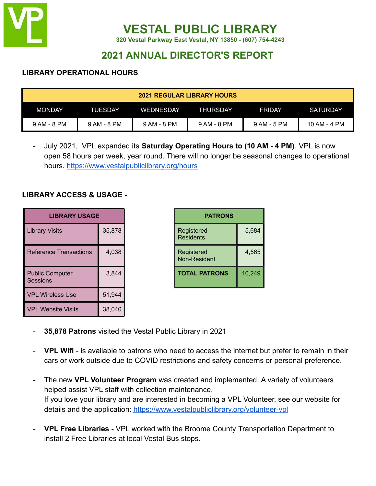

**320 Vestal Parkway East Vestal, NY 13850 - (607) 754-4243**

## **2021 ANNUAL DIRECTOR'S REPORT**

#### **LIBRARY OPERATIONAL HOURS**

| <b>2021 REGULAR LIBRARY HOURS</b> |             |             |                 |               |              |
|-----------------------------------|-------------|-------------|-----------------|---------------|--------------|
| <b>MONDAY</b>                     | TUESDAY     | WEDNESDAY!  | <b>THURSDAY</b> | <b>FRIDAY</b> | SATURDAY     |
| 9 AM - 8 PM                       | 9 AM - 8 PM | 9 AM - 8 PM | 9 AM - 8 PM     | 9 AM - 5 PM   | 10 AM - 4 PM |

- July 2021, VPL expanded its **Saturday Operating Hours to (10 AM - 4 PM)**. VPL is now open 58 hours per week, year round. There will no longer be seasonal changes to operational hours. <https://www.vestalpubliclibrary.org/hours>

#### **LIBRARY ACCESS & USAGE -**

| <b>LIBRARY USAGE</b>                      |        | <b>PATRONS</b>                    |
|-------------------------------------------|--------|-----------------------------------|
| <b>Library Visits</b>                     | 35,878 | Registered<br><b>Residents</b>    |
| <b>Reference Transactions</b>             | 4,038  | Registered<br><b>Non-Resident</b> |
| <b>Public Computer</b><br><b>Sessions</b> | 3,844  | <b>TOTAL PATRONS</b>              |
| <b>VPL Wireless Use</b>                   | 51,944 |                                   |
| <b>VPL Website Visits</b>                 | 38,040 |                                   |

|       | <b>PATRONS</b>                 |        |  |  |
|-------|--------------------------------|--------|--|--|
| 5,878 | Registered<br><b>Residents</b> | 5,684  |  |  |
| 4,038 | Registered<br>Non-Resident     | 4,565  |  |  |
| 3,844 | <b>TOTAL PATRONS</b>           | 10,249 |  |  |

- **35,878 Patrons** visited the Vestal Public Library in 2021
- **VPL Wifi** is available to patrons who need to access the internet but prefer to remain in their cars or work outside due to COVID restrictions and safety concerns or personal preference.
- The new **VPL Volunteer Program** was created and implemented. A variety of volunteers helped assist VPL staff with collection maintenance, If you love your library and are interested in becoming a VPL Volunteer, see our website for details and the application: <https://www.vestalpubliclibrary.org/volunteer-vpl>
- **VPL Free Libraries** VPL worked with the Broome County Transportation Department to install 2 Free Libraries at local Vestal Bus stops.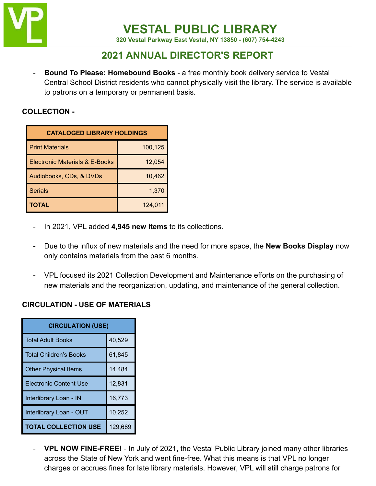

**320 Vestal Parkway East Vestal, NY 13850 - (607) 754-4243**

## **2021 ANNUAL DIRECTOR'S REPORT**

**Bound To Please: Homebound Books** - a free monthly book delivery service to Vestal Central School District residents who cannot physically visit the library. The service is available to patrons on a temporary or permanent basis.

#### **COLLECTION -**

| <b>CATALOGED LIBRARY HOLDINGS</b>         |         |  |  |  |
|-------------------------------------------|---------|--|--|--|
| <b>Print Materials</b>                    | 100,125 |  |  |  |
| <b>Electronic Materials &amp; E-Books</b> | 12,054  |  |  |  |
| Audiobooks, CDs, & DVDs                   | 10,462  |  |  |  |
| <b>Serials</b>                            | 1,370   |  |  |  |
| <b>TOTAL</b>                              | 124,011 |  |  |  |

- In 2021, VPL added **4,945 new items** to its collections.
- Due to the influx of new materials and the need for more space, the **New Books Display** now only contains materials from the past 6 months.
- VPL focused its 2021 Collection Development and Maintenance efforts on the purchasing of new materials and the reorganization, updating, and maintenance of the general collection.

## **CIRCULATION - USE OF MATERIALS**

| <b>CIRCULATION (USE)</b>      |         |  |  |
|-------------------------------|---------|--|--|
| <b>Total Adult Books</b>      | 40,529  |  |  |
| <b>Total Children's Books</b> | 61,845  |  |  |
| <b>Other Physical Items</b>   | 14,484  |  |  |
| <b>Electronic Content Use</b> | 12,831  |  |  |
| Interlibrary Loan - IN        | 16,773  |  |  |
| Interlibrary Loan - OUT       | 10,252  |  |  |
| <b>TOTAL COLLECTION USE</b>   | 129,689 |  |  |

- **VPL NOW FINE-FREE!** - In July of 2021, the Vestal Public Library joined many other libraries across the State of New York and went fine-free. What this means is that VPL no longer charges or accrues fines for late library materials. However, VPL will still charge patrons for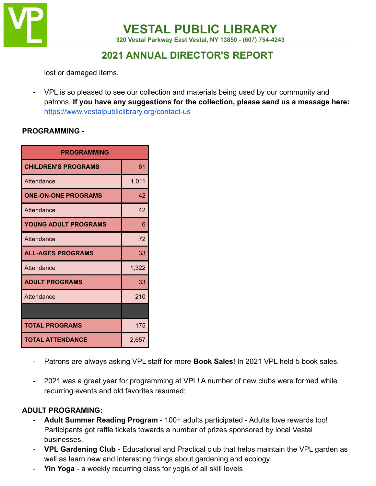

**320 Vestal Parkway East Vestal, NY 13850 - (607) 754-4243**

# **2021 ANNUAL DIRECTOR'S REPORT**

lost or damaged items.

- VPL is so pleased to see our collection and materials being used by our community and patrons. **If you have any suggestions for the collection, please send us a message here:** <https://www.vestalpubliclibrary.org/contact-us>

#### **PROGRAMMING -**

| <b>PROGRAMMING</b>          |       |  |  |
|-----------------------------|-------|--|--|
| <b>CHILDREN'S PROGRAMS</b>  | 61    |  |  |
| Attendance                  | 1,011 |  |  |
| <b>ONE-ON-ONE PROGRAMS</b>  | 42    |  |  |
| Attendance                  | 42    |  |  |
| <b>YOUNG ADULT PROGRAMS</b> | 6     |  |  |
| Attendance                  | 72    |  |  |
| <b>ALL-AGES PROGRAMS</b>    | 33    |  |  |
| Attendance                  | 1,322 |  |  |
| <b>ADULT PROGRAMS</b>       | 33    |  |  |
| Attendance                  | 210   |  |  |
|                             |       |  |  |
| <b>TOTAL PROGRAMS</b>       | 175   |  |  |
| <b>TOTAL ATTENDANCE</b>     | 2,657 |  |  |

- Patrons are always asking VPL staff for more **Book Sales**! In 2021 VPL held 5 book sales.
- 2021 was a great year for programming at VPL! A number of new clubs were formed while recurring events and old favorites resumed:

#### **ADULT PROGRAMING:**

- **Adult Summer Reading Program** 100+ adults participated Adults love rewards too! Participants got raffle tickets towards a number of prizes sponsored by local Vestal businesses.
- **VPL Gardening Club** Educational and Practical club that helps maintain the VPL garden as well as learn new and interesting things about gardening and ecology.
- Yin Yoga a weekly recurring class for yogis of all skill levels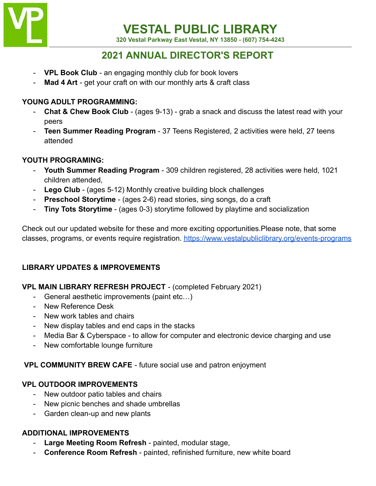

**320 Vestal Parkway East Vestal, NY 13850 - (607) 754-4243**

## **2021 ANNUAL DIRECTOR'S REPORT**

- **VPL Book Club** an engaging monthly club for book lovers
- Mad 4 Art get your craft on with our monthly arts & craft class

## **YOUNG ADULT PROGRAMMING:**

- **Chat & Chew Book Club** (ages 9-13) grab a snack and discuss the latest read with your peers
- **Teen Summer Reading Program** 37 Teens Registered, 2 activities were held, 27 teens attended

## **YOUTH PROGRAMING:**

- **Youth Summer Reading Program** 309 children registered, 28 activities were held, 1021 children attended,
- **Lego Club** (ages 5-12) Monthly creative building block challenges
- **Preschool Storytime** (ages 2-6) read stories, sing songs, do a craft
- **Tiny Tots Storytime** (ages 0-3) storytime followed by playtime and socialization

Check out our updated website for these and more exciting opportunities.Please note, that some classes, programs, or events require registration. <https://www.vestalpubliclibrary.org/events-programs>

## **LIBRARY UPDATES & IMPROVEMENTS**

## **VPL MAIN LIBRARY REFRESH PROJECT** - (completed February 2021)

- General aesthetic improvements (paint etc...)
- New Reference Desk
- New work tables and chairs
- New display tables and end caps in the stacks
- Media Bar & Cyberspace to allow for computer and electronic device charging and use
- New comfortable lounge furniture

## **VPL COMMUNITY BREW CAFE** - future social use and patron enjoyment

## **VPL OUTDOOR IMPROVEMENTS**

- New outdoor patio tables and chairs
- New picnic benches and shade umbrellas
- Garden clean-up and new plants

## **ADDITIONAL IMPROVEMENTS**

- **Large Meeting Room Refresh** painted, modular stage,
- **Conference Room Refresh** painted, refinished furniture, new white board